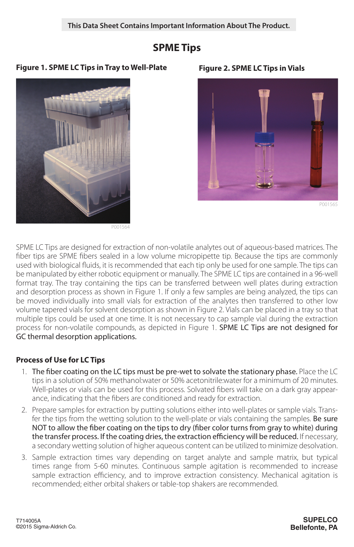# **SPME Tips**

### **Figure 1. SPME LC Tips in Tray to Well-Plate Figure 2. SPME LC Tips in Vials**



P001564



P001565

SPME LC Tips are designed for extraction of non-volatile analytes out of aqueous-based matrices. The fiber tips are SPME fibers sealed in a low volume micropipette tip. Because the tips are commonly used with biological fluids, it is recommended that each tip only be used for one sample. The tips can be manipulated by either robotic equipment or manually. The SPME LC tips are contained in a 96-well format tray. The tray containing the tips can be transferred between well plates during extraction and desorption process as shown in Figure 1. If only a few samples are being analyzed, the tips can be moved individually into small vials for extraction of the analytes then transferred to other low volume tapered vials for solvent desorption as shown in Figure 2. Vials can be placed in a tray so that multiple tips could be used at one time. It is not necessary to cap sample vial during the extraction process for non-volatile compounds, as depicted in Figure 1. SPME LC Tips are not designed for GC thermal desorption applications.

## **Process of Use for LC Tips**

- 1. The fiber coating on the LC tips must be pre-wet to solvate the stationary phase. Place the LC tips in a solution of 50% methanol:water or 50% acetonitrile:water for a minimum of 20 minutes. Well-plates or vials can be used for this process. Solvated fibers will take on a dark gray appearance, indicating that the fibers are conditioned and ready for extraction.
- 2. Prepare samples for extraction by putting solutions either into well-plates or sample vials. Transfer the tips from the wetting solution to the well-plate or vials containing the samples. Be sure NOT to allow the fiber coating on the tips to dry (fiber color turns from gray to white) during the transfer process. If the coating dries, the extraction efficiency will be reduced. If necessary, a secondary wetting solution of higher aqueous content can be utilized to minimize desolvation.
- 3. Sample extraction times vary depending on target analyte and sample matrix, but typical times range from 5-60 minutes. Continuous sample agitation is recommended to increase sample extraction efficiency, and to improve extraction consistency. Mechanical agitation is recommended; either orbital shakers or table-top shakers are recommended.